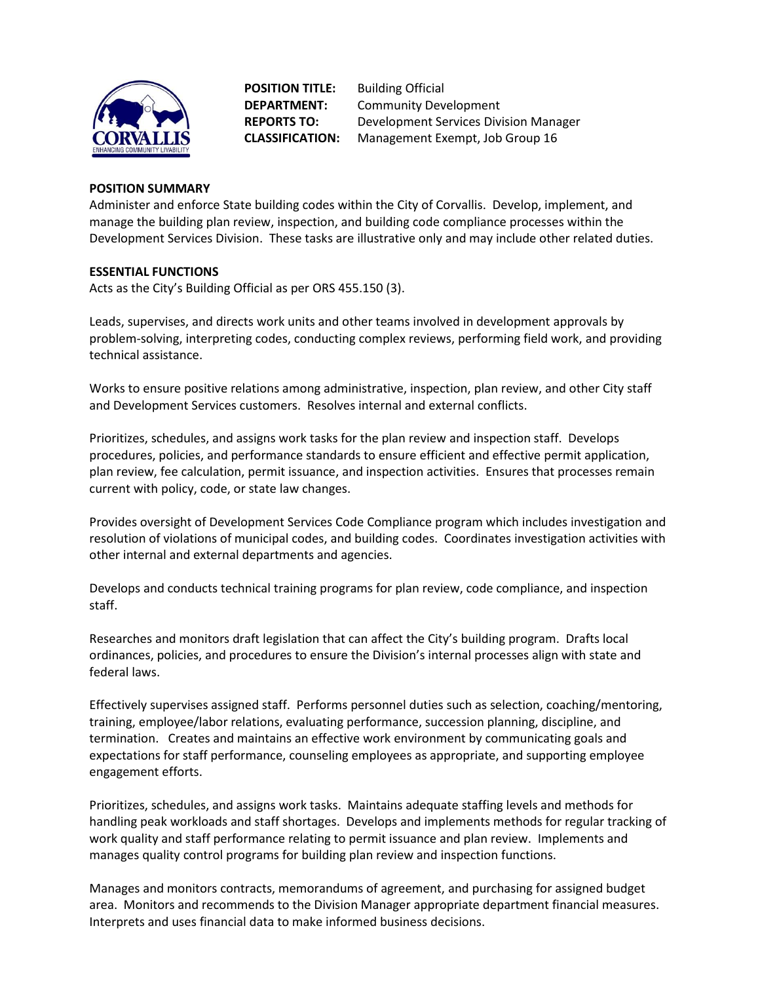

**POSITION TITLE:** Building Official

**DEPARTMENT:** Community Development **REPORTS TO:** Development Services Division Manager **CLASSIFICATION:** Management Exempt, Job Group 16

# **POSITION SUMMARY**

Administer and enforce State building codes within the City of Corvallis. Develop, implement, and manage the building plan review, inspection, and building code compliance processes within the Development Services Division. These tasks are illustrative only and may include other related duties.

# **ESSENTIAL FUNCTIONS**

Acts as the City's Building Official as per ORS 455.150 (3).

Leads, supervises, and directs work units and other teams involved in development approvals by problem-solving, interpreting codes, conducting complex reviews, performing field work, and providing technical assistance.

Works to ensure positive relations among administrative, inspection, plan review, and other City staff and Development Services customers. Resolves internal and external conflicts.

Prioritizes, schedules, and assigns work tasks for the plan review and inspection staff. Develops procedures, policies, and performance standards to ensure efficient and effective permit application, plan review, fee calculation, permit issuance, and inspection activities. Ensures that processes remain current with policy, code, or state law changes.

Provides oversight of Development Services Code Compliance program which includes investigation and resolution of violations of municipal codes, and building codes. Coordinates investigation activities with other internal and external departments and agencies.

Develops and conducts technical training programs for plan review, code compliance, and inspection staff.

Researches and monitors draft legislation that can affect the City's building program. Drafts local ordinances, policies, and procedures to ensure the Division's internal processes align with state and federal laws.

Effectively supervises assigned staff. Performs personnel duties such as selection, coaching/mentoring, training, employee/labor relations, evaluating performance, succession planning, discipline, and termination. Creates and maintains an effective work environment by communicating goals and expectations for staff performance, counseling employees as appropriate, and supporting employee engagement efforts.

Prioritizes, schedules, and assigns work tasks. Maintains adequate staffing levels and methods for handling peak workloads and staff shortages. Develops and implements methods for regular tracking of work quality and staff performance relating to permit issuance and plan review. Implements and manages quality control programs for building plan review and inspection functions.

Manages and monitors contracts, memorandums of agreement, and purchasing for assigned budget area. Monitors and recommends to the Division Manager appropriate department financial measures. Interprets and uses financial data to make informed business decisions.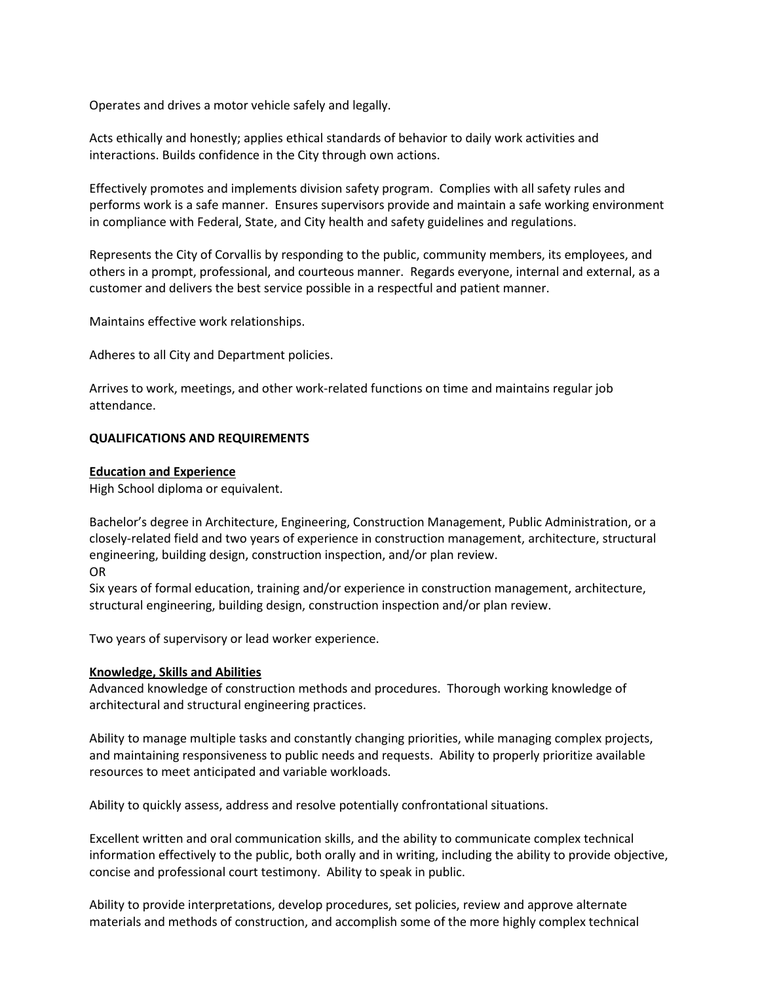Operates and drives a motor vehicle safely and legally.

Acts ethically and honestly; applies ethical standards of behavior to daily work activities and interactions. Builds confidence in the City through own actions.

Effectively promotes and implements division safety program. Complies with all safety rules and performs work is a safe manner. Ensures supervisors provide and maintain a safe working environment in compliance with Federal, State, and City health and safety guidelines and regulations.

Represents the City of Corvallis by responding to the public, community members, its employees, and others in a prompt, professional, and courteous manner. Regards everyone, internal and external, as a customer and delivers the best service possible in a respectful and patient manner.

Maintains effective work relationships.

Adheres to all City and Department policies.

Arrives to work, meetings, and other work-related functions on time and maintains regular job attendance.

#### **QUALIFICATIONS AND REQUIREMENTS**

#### **Education and Experience**

High School diploma or equivalent.

Bachelor's degree in Architecture, Engineering, Construction Management, Public Administration, or a closely-related field and two years of experience in construction management, architecture, structural engineering, building design, construction inspection, and/or plan review. OR

Six years of formal education, training and/or experience in construction management, architecture, structural engineering, building design, construction inspection and/or plan review.

Two years of supervisory or lead worker experience.

#### **Knowledge, Skills and Abilities**

Advanced knowledge of construction methods and procedures. Thorough working knowledge of architectural and structural engineering practices.

Ability to manage multiple tasks and constantly changing priorities, while managing complex projects, and maintaining responsiveness to public needs and requests. Ability to properly prioritize available resources to meet anticipated and variable workloads.

Ability to quickly assess, address and resolve potentially confrontational situations.

Excellent written and oral communication skills, and the ability to communicate complex technical information effectively to the public, both orally and in writing, including the ability to provide objective, concise and professional court testimony. Ability to speak in public.

Ability to provide interpretations, develop procedures, set policies, review and approve alternate materials and methods of construction, and accomplish some of the more highly complex technical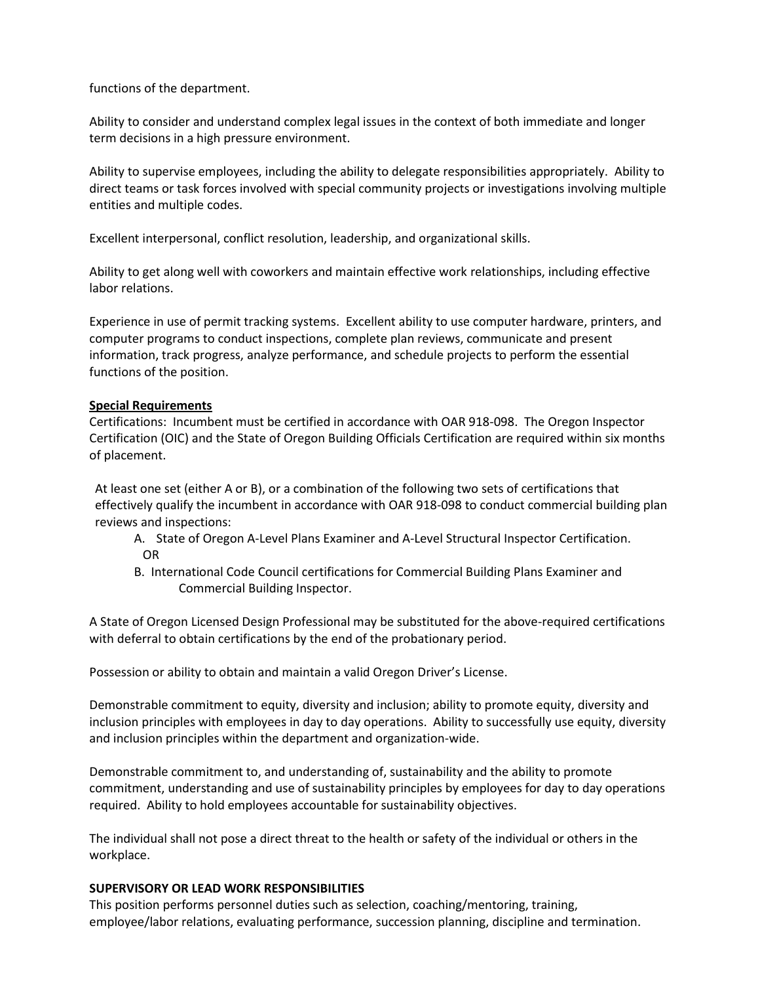functions of the department.

Ability to consider and understand complex legal issues in the context of both immediate and longer term decisions in a high pressure environment.

Ability to supervise employees, including the ability to delegate responsibilities appropriately. Ability to direct teams or task forces involved with special community projects or investigations involving multiple entities and multiple codes.

Excellent interpersonal, conflict resolution, leadership, and organizational skills.

Ability to get along well with coworkers and maintain effective work relationships, including effective labor relations.

Experience in use of permit tracking systems. Excellent ability to use computer hardware, printers, and computer programs to conduct inspections, complete plan reviews, communicate and present information, track progress, analyze performance, and schedule projects to perform the essential functions of the position.

# **Special Requirements**

Certifications: Incumbent must be certified in accordance with OAR 918-098. The Oregon Inspector Certification (OIC) and the State of Oregon Building Officials Certification are required within six months of placement.

At least one set (either A or B), or a combination of the following two sets of certifications that effectively qualify the incumbent in accordance with OAR 918-098 to conduct commercial building plan reviews and inspections:

- A. State of Oregon A-Level Plans Examiner and A-Level Structural Inspector Certification. OR
- B. International Code Council certifications for Commercial Building Plans Examiner and Commercial Building Inspector.

A State of Oregon Licensed Design Professional may be substituted for the above-required certifications with deferral to obtain certifications by the end of the probationary period.

Possession or ability to obtain and maintain a valid Oregon Driver's License.

Demonstrable commitment to equity, diversity and inclusion; ability to promote equity, diversity and inclusion principles with employees in day to day operations. Ability to successfully use equity, diversity and inclusion principles within the department and organization-wide.

Demonstrable commitment to, and understanding of, sustainability and the ability to promote commitment, understanding and use of sustainability principles by employees for day to day operations required. Ability to hold employees accountable for sustainability objectives.

The individual shall not pose a direct threat to the health or safety of the individual or others in the workplace.

# **SUPERVISORY OR LEAD WORK RESPONSIBILITIES**

This position performs personnel duties such as selection, coaching/mentoring, training, employee/labor relations, evaluating performance, succession planning, discipline and termination.